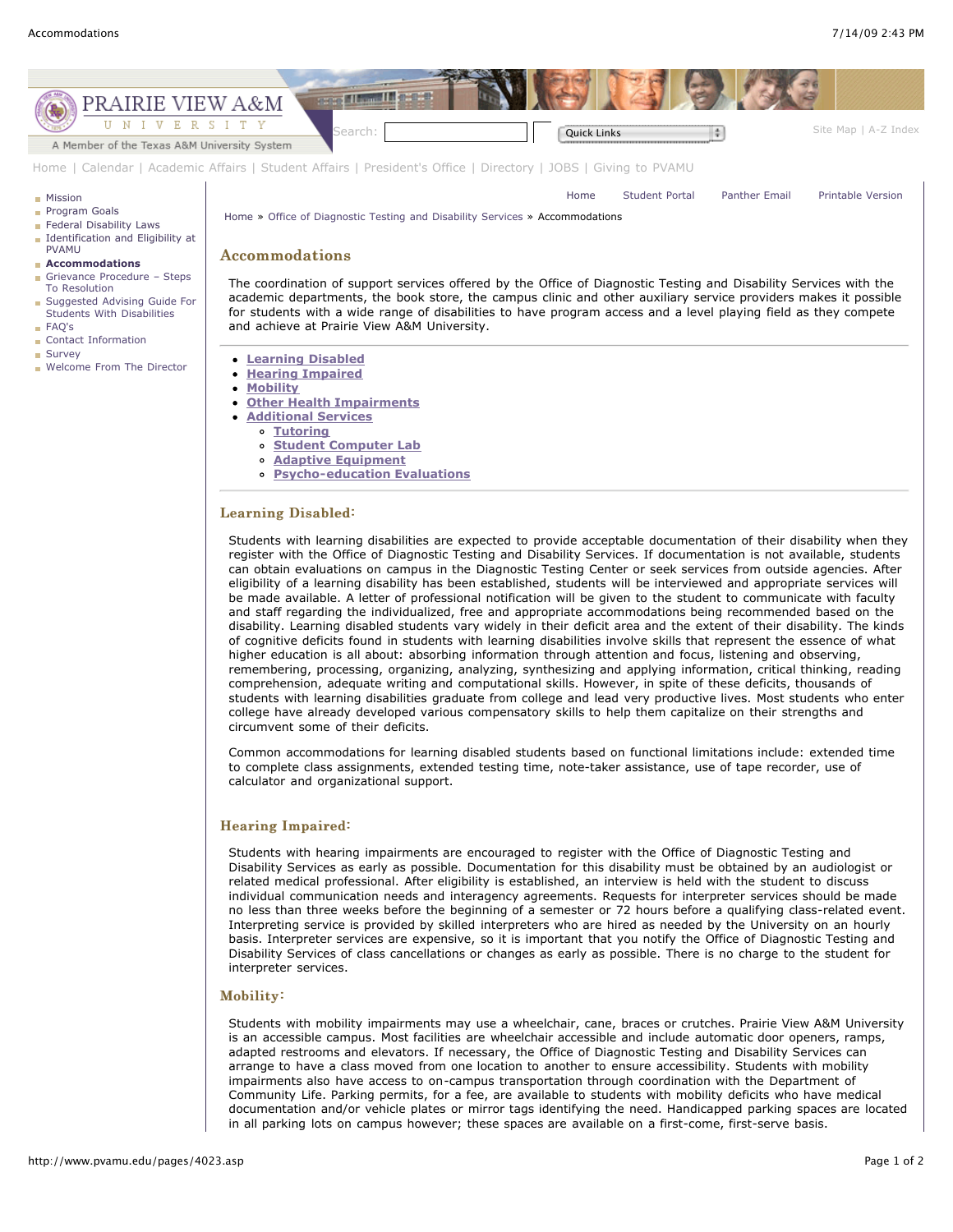

- **[Student Computer Lab](http://www.pvamu.edu/pages/4023.asp#2)**
- **[Adaptive Equipment](http://www.pvamu.edu/pages/4023.asp#3)**
- **[Psycho-education Evaluations](http://www.pvamu.edu/pages/4023.asp#4)**

# Learning Disabled:

Students with learning disabilities are expected to provide acceptable documentation of their disability when they register with the Office of Diagnostic Testing and Disability Services. If documentation is not available, students can obtain evaluations on campus in the Diagnostic Testing Center or seek services from outside agencies. After eligibility of a learning disability has been established, students will be interviewed and appropriate services will be made available. A letter of professional notification will be given to the student to communicate with faculty and staff regarding the individualized, free and appropriate accommodations being recommended based on the disability. Learning disabled students vary widely in their deficit area and the extent of their disability. The kinds of cognitive deficits found in students with learning disabilities involve skills that represent the essence of what higher education is all about: absorbing information through attention and focus, listening and observing, remembering, processing, organizing, analyzing, synthesizing and applying information, critical thinking, reading comprehension, adequate writing and computational skills. However, in spite of these deficits, thousands of students with learning disabilities graduate from college and lead very productive lives. Most students who enter college have already developed various compensatory skills to help them capitalize on their strengths and circumvent some of their deficits.

Common accommodations for learning disabled students based on functional limitations include: extended time to complete class assignments, extended testing time, note-taker assistance, use of tape recorder, use of calculator and organizational support.

## Hearing Impaired:

Students with hearing impairments are encouraged to register with the Office of Diagnostic Testing and Disability Services as early as possible. Documentation for this disability must be obtained by an audiologist or related medical professional. After eligibility is established, an interview is held with the student to discuss individual communication needs and interagency agreements. Requests for interpreter services should be made no less than three weeks before the beginning of a semester or 72 hours before a qualifying class-related event. Interpreting service is provided by skilled interpreters who are hired as needed by the University on an hourly basis. Interpreter services are expensive, so it is important that you notify the Office of Diagnostic Testing and Disability Services of class cancellations or changes as early as possible. There is no charge to the student for interpreter services.

#### Mobility:

Students with mobility impairments may use a wheelchair, cane, braces or crutches. Prairie View A&M University is an accessible campus. Most facilities are wheelchair accessible and include automatic door openers, ramps, adapted restrooms and elevators. If necessary, the Office of Diagnostic Testing and Disability Services can arrange to have a class moved from one location to another to ensure accessibility. Students with mobility impairments also have access to on-campus transportation through coordination with the Department of Community Life. Parking permits, for a fee, are available to students with mobility deficits who have medical documentation and/or vehicle plates or mirror tags identifying the need. Handicapped parking spaces are located in all parking lots on campus however; these spaces are available on a first-come, first-serve basis.